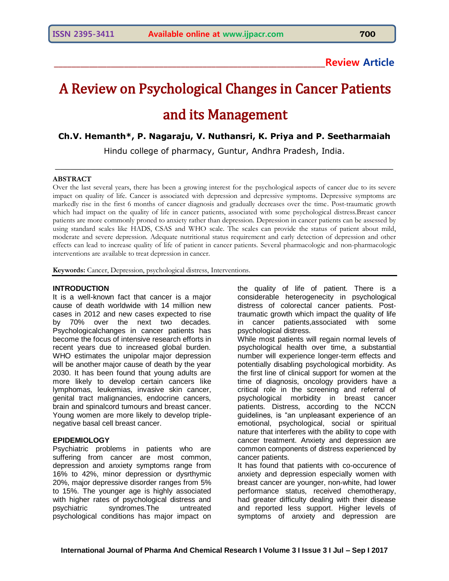## **\_\_\_\_\_\_\_\_\_\_\_\_\_\_\_\_\_\_\_\_\_\_\_\_\_\_\_\_\_\_\_\_\_\_\_\_\_\_\_\_\_\_\_\_\_\_\_\_\_\_\_\_\_\_\_\_\_\_\_\_\_\_Review Article**

# A Review on Psychological Changes in Cancer Patients and its Management

### **Ch.V. Hemanth\*, P. Nagaraju, V. Nuthansri, K. Priya and P. Seetharmaiah**

Hindu college of pharmacy, Guntur, Andhra Pradesh, India.

 $\_$  , and the set of the set of the set of the set of the set of the set of the set of the set of the set of the set of the set of the set of the set of the set of the set of the set of the set of the set of the set of th

#### **ABSTRACT**

Over the last several years, there has been a growing interest for the psychological aspects of cancer due to its severe impact on quality of life. Cancer is associated with depression and depressive symptoms. Depressive symptoms are markedly rise in the first 6 months of cancer diagnosis and gradually decreases over the time. Post-traumatic growth which had impact on the quality of life in cancer patients, associated with some psychological distress.Breast cancer patients are more commonly proned to anxiety rather than depression. Depression in cancer patients can be assessed by using standard scales like HADS, CSAS and WHO scale. The scales can provide the status of patient about mild, moderate and severe depression. Adequate nutritional status requirement and early detection of depression and other effects can lead to increase quality of life of patient in cancer patients. Several pharmacologic and non-pharmacologic interventions are available to treat depression in cancer.

**Keywords:** Cancer, Depression, psychological distress, Interventions.

#### **INTRODUCTION**

It is a well-known fact that cancer is a major cause of death worldwide with 14 million new cases in 2012 and new cases expected to rise by 70% over the next two decades. Psychologicalchanges in cancer patients has become the focus of intensive research efforts in recent years due to increased global burden. WHO estimates the unipolar major depression will be another major cause of death by the year 2030. It has been found that young adults are more likely to develop certain cancers like lymphomas, leukemias, invasive skin cancer, genital tract malignancies, endocrine cancers, brain and spinalcord tumours and breast cancer. Young women are more likely to develop triplenegative basal cell breast cancer.

#### **EPIDEMIOLOGY**

Psychiatric problems in patients who are suffering from cancer are most common, depression and anxiety symptoms range from 16% to 42%, minor depression or dysrthymic 20%, major depressive disorder ranges from 5% to 15%. The younger age is highly associated with higher rates of psychological distress and psychiatric syndromes.The untreated psychological conditions has major impact on

the quality of life of patient. There is a considerable heterogenecity in psychological distress of colorectal cancer patients. Posttraumatic growth which impact the quality of life in cancer patients,associated with some psychological distress.

While most patients will regain normal levels of psychological health over time, a substantial number will experience longer-term effects and potentially disabling psychological morbidity. As the first line of clinical support for women at the time of diagnosis, oncology providers have a critical role in the screening and referral of psychological morbidity in breast cancer patients. Distress, according to the NCCN guidelines, is "an unpleasant experience of an emotional, psychological, social or spiritual nature that interferes with the ability to cope with cancer treatment. Anxiety and depression are common components of distress experienced by cancer patients.

It has found that patients with co-occurence of anxiety and depression especially women with breast cancer are younger, non-white, had lower performance status, received chemotherapy, had greater difficulty dealing with their disease and reported less support. Higher levels of symptoms of anxiety and depression are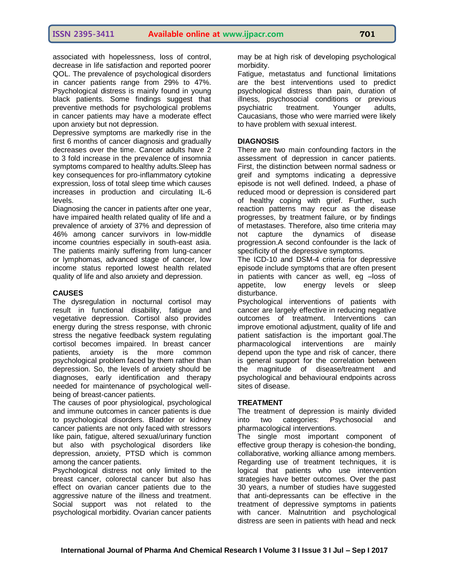associated with hopelessness, loss of control, decrease in life satisfaction and reported poorer QOL. The prevalence of psychological disorders in cancer patients range from 29% to 47%. Psychological distress is mainly found in young black patients. Some findings suggest that preventive methods for psychological problems in cancer patients may have a moderate effect upon anxiety but not depression.

Depressive symptoms are markedly rise in the first 6 months of cancer diagnosis and gradually decreases over the time. Cancer adults have 2 to 3 fold increase in the prevalence of insomnia symptoms compared to healthy adults.Sleep has key consequences for pro-inflammatory cytokine expression, loss of total sleep time which causes increases in production and circulating IL-6 levels.

Diagnosing the cancer in patients after one year, have impaired health related quality of life and a prevalence of anxiety of 37% and depression of 46% among cancer survivors in low-middle income countries especially in south-east asia. The patients mainly suffering from lung-cancer or lymphomas, advanced stage of cancer, low income status reported lowest health related quality of life and also anxiety and depression.

#### **CAUSES**

The dysregulation in nocturnal cortisol may result in functional disability, fatigue and vegetative depression. Cortisol also provides energy during the stress response, with chronic stress the negative feedback system regulating cortisol becomes impaired. In breast cancer patients, anxiety is the more common psychological problem faced by them rather than depression. So, the levels of anxiety should be diagnoses, early identification and therapy needed for maintenance of psychological wellbeing of breast-cancer patients.

The causes of poor physiological, psychological and immune outcomes in cancer patients is due to psychological disorders. Bladder or kidney cancer patients are not only faced with stressors like pain, fatigue, altered sexual/urinary function but also with psychological disorders like depression, anxiety, PTSD which is common among the cancer patients.

Psychological distress not only limited to the breast cancer, colorectal cancer but also has effect on ovarian cancer patients due to the aggressive nature of the illness and treatment. Social support was not related to the psychological morbidity. Ovarian cancer patients may be at high risk of developing psychological morbidity.

Fatigue, metastatus and functional limitations are the best interventions used to predict psychological distress than pain, duration of illness, psychosocial conditions or previous psychiatric treatment. Younger adults, Caucasians, those who were married were likely to have problem with sexual interest.

#### **DIAGNOSIS**

There are two main confounding factors in the assessment of depression in cancer patients. First, the distinction between normal sadness or greif and symptoms indicating a depressive episode is not well defined. Indeed, a phase of reduced mood or depression is considered part of healthy coping with grief. Further, such reaction patterns may recur as the disease progresses, by treatment failure, or by findings of metastases. Therefore, also time criteria may not capture the dynamics of disease progression.A second confounder is the lack of specificity of the depressive symptoms.

The ICD-10 and DSM-4 criteria for depressive episode include symptoms that are often present in patients with cancer as well, eg –loss of appetite, low energy levels or sleep disturbance.

Psychological interventions of patients with cancer are largely effective in reducing negative outcomes of treatment. Interventions can improve emotional adjustment, quality of life and patient satisfaction is the important goal.The pharmacological interventions are mainly depend upon the type and risk of cancer, there is general support for the correlation between the magnitude of disease/treatment and psychological and behavioural endpoints across sites of disease.

#### **TREATMENT**

The treatment of depression is mainly divided into two categories: Psychosocial and pharmacological interventions.

The single most important component of effective group therapy is cohesion-the bonding, collaborative, working alliance among members. Regarding use of treatment techniques, it is logical that patients who use intervention strategies have better outcomes. Over the past 30 years, a number of studies have suggested that anti-depressants can be effective in the treatment of depressive symptoms in patients with cancer. Malnutrition and psychological distress are seen in patients with head and neck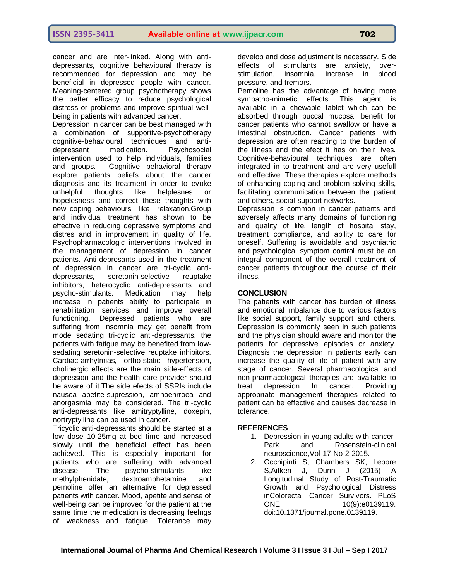cancer and are inter-linked. Along with antidepressants, cognitive behavioural therapy is recommended for depression and may be beneficial in depressed people with cancer. Meaning-centered group psychotherapy shows the better efficacy to reduce psychological distress or problems and improve spiritual wellbeing in patients with advanced cancer.

Depression in cancer can be best managed with a combination of supportive-psychotherapy cognitive-behavioural techniques and antidepressant medication. Psychosocial intervention used to help individuals, families and groups. Cognitive behavioral therapy explore patients beliefs about the cancer diagnosis and its treatment in order to evoke unhelpful thoughts like helplesnes or hopelesness and correct these thoughts with new coping behaviours like relaxation.Group and individual treatment has shown to be effective in reducing depressive symptoms and distres and in improvement in quality of life. Psychopharmacologic interventions involved in the management of depression in cancer patients. Anti-depresants used in the treatment of depression in cancer are tri-cyclic antidepressants, seretonin-selective reuptake inhibitors, heterocyclic anti-depressants and psycho-stimulants. Medication may help increase in patients ability to participate in rehabilitation services and improve overall functioning. Depressed patients who are suffering from insomnia may get benefit from mode sedating tri-cyclic anti-depressants, the patients with fatigue may be benefited from lowsedating seretonin-selective reuptake inhibitors. Cardiac-arrhytmias, ortho-static hypertension, cholinergic effects are the main side-effects of depression and the health care provider should be aware of it.The side efects of SSRIs include nausea apetite-supression, amnoehrroea and anorgasmia may be considered. The tri-cyclic anti-depressants like amitryptylline, doxepin, nortryptylline can be used in cancer.

Tricyclic anti-depressants should be started at a low dose 10-25mg at bed time and increased slowly until the beneficial effect has been achieved. This is especially important for patients who are suffering with advanced disease. The psycho-stimulants like methylphenidate, dextroamphetamine and pemoline offer an alternative for depressed patients with cancer. Mood, apetite and sense of well-being can be improved for the patient at the same time the medication is decreasing feelngs of weakness and fatigue. Tolerance may

develop and dose adjustment is necessary. Side effects of stimulants are anxiety, overstimulation, insomnia, increase in blood pressure, and tremors.

Pemoline has the advantage of having more sympatho-mimetic effects. This agent is available in a chewable tablet which can be absorbed through buccal mucosa, benefit for cancer patients who cannot swallow or have a intestinal obstruction. Cancer patients with depression are often reacting to the burden of the illness and the efect it has on their lives. Cognitive-behavioural techniques are often integrated in to treatment and are very usefull and effective. These therapies explore methods of enhancing coping and problem-solving skills, facilitating communication between the patient and others, social-support networks.

Depression is common in cancer patients and adversely affects many domains of functioning and quality of life, length of hospital stay, treatment compliance, and ability to care for oneself. Suffering is avoidable and psychiatric and psychological symptom control must be an integral component of the overall treatment of cancer patients throughout the course of their illness.

#### **CONCLUSION**

The patients with cancer has burden of illness and emotional imbalance due to various factors like social support, family support and others. Depression is commonly seen in such patients and the physician should aware and monitor the patients for depressive episodes or anxiety. Diagnosis the depression in patients early can increase the quality of life of patient with any stage of cancer. Several pharmacological and non-pharmacological therapies are available to treat depression In cancer. Providing appropriate management therapies related to patient can be effective and causes decrease in tolerance.

#### **REFERENCES**

- 1. Depression in young adults with cancer-Park and Rosenstein-clinical neuroscience,Vol-17-No-2-2015.
- 2. Occhipinti S, Chambers SK, Lepore S,Aitken J, Dunn J (2015) A Longitudinal Study of Post-Traumatic Growth and Psychological Distress inColorectal Cancer Survivors. PLoS ONE 10(9):e0139119. doi:10.1371/journal.pone.0139119.